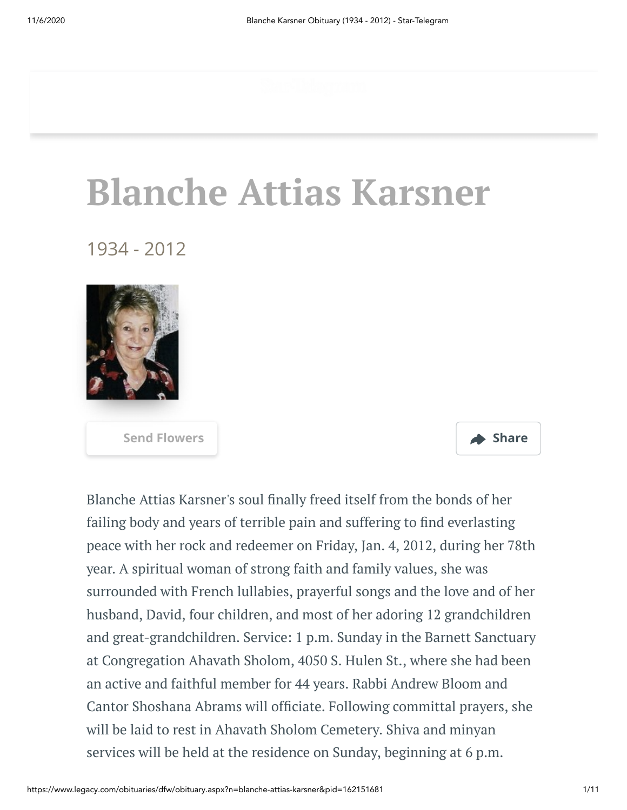# **Blanche Attias Karsner**

1934 - 2012





Blanche Attias Karsner's soul finally freed itself from the bonds of her failing body and years of terrible pain and suffering to find everlasting peace with her rock and redeemer on Friday, Jan. 4, 2012, during her 78th year. A spiritual woman of strong faith and family values, she was surrounded with French lullabies, prayerful songs and the love and of her husband, David, four children, and most of her adoring 12 grandchildren and great-grandchildren. Service: 1 p.m. Sunday in the Barnett Sanctuary at Congregation Ahavath Sholom, 4050 S. Hulen St., where she had been an active and faithful member for 44 years. Rabbi Andrew Bloom and Cantor Shoshana Abrams will officiate. Following committal prayers, she will be laid to rest in Ahavath Sholom Cemetery. Shiva and minyan services will be held at the residence on Sunday, beginning at 6 p.m.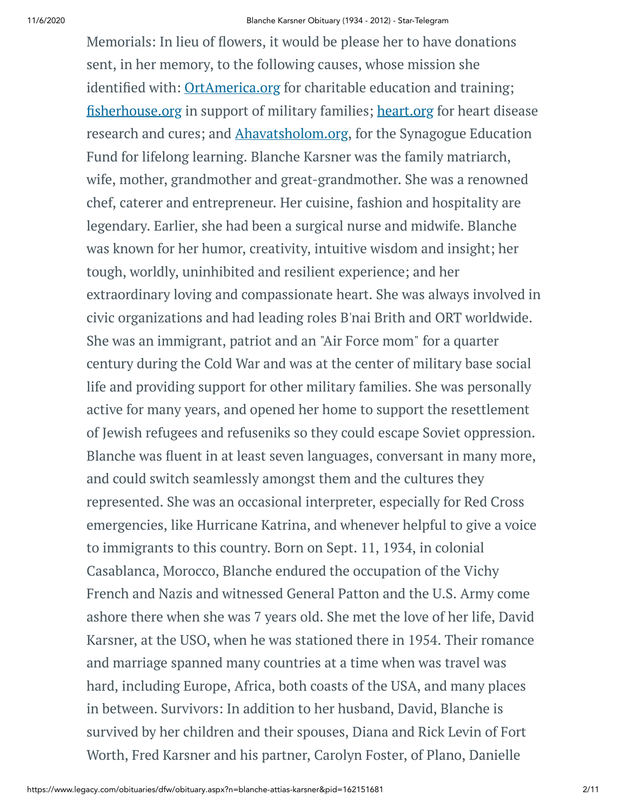Memorials: In lieu of flowers, it would be please her to have donations sent, in her memory, to the following causes, whose mission she identified with: [OrtAmerica.org](http://ortamerica.org/) for charitable education and training; fi[sherhouse.org](http://fisherhouse.org/) in support of military families; [heart.org](http://heart.org/) for heart disease research and cures; and [Ahavatsholom.org](http://ahavatsholom.org/), for the Synagogue Education Fund for lifelong learning. Blanche Karsner was the family matriarch, wife, mother, grandmother and great-grandmother. She was a renowned chef, caterer and entrepreneur. Her cuisine, fashion and hospitality are legendary. Earlier, she had been a surgical nurse and midwife. Blanche was known for her humor, creativity, intuitive wisdom and insight; her tough, worldly, uninhibited and resilient experience; and her extraordinary loving and compassionate heart. She was always involved in civic organizations and had leading roles B'nai Brith and ORT worldwide. She was an immigrant, patriot and an "Air Force mom" for a quarter century during the Cold War and was at the center of military base social life and providing support for other military families. She was personally active for many years, and opened her home to support the resettlement of Jewish refugees and refuseniks so they could escape Soviet oppression. Blanche was fluent in at least seven languages, conversant in many more, and could switch seamlessly amongst them and the cultures they represented. She was an occasional interpreter, especially for Red Cross emergencies, like Hurricane Katrina, and whenever helpful to give a voice to immigrants to this country. Born on Sept. 11, 1934, in colonial Casablanca, Morocco, Blanche endured the occupation of the Vichy French and Nazis and witnessed General Patton and the U.S. Army come ashore there when she was 7 years old. She met the love of her life, David Karsner, at the USO, when he was stationed there in 1954. Their romance and marriage spanned many countries at a time when was travel was hard, including Europe, Africa, both coasts of the USA, and many places in between. Survivors: In addition to her husband, David, Blanche is survived by her children and their spouses, Diana and Rick Levin of Fort Worth, Fred Karsner and his partner, Carolyn Foster, of Plano, Danielle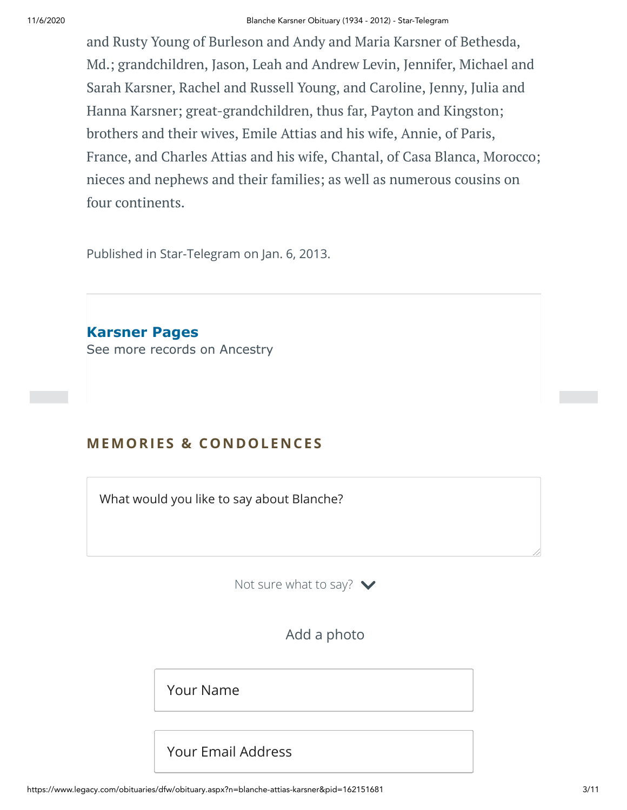and Rusty Young of Burleson and Andy and Maria Karsner of Bethesda, Md.; grandchildren, Jason, Leah and Andrew Levin, Jennifer, Michael and Sarah Karsner, Rachel and Russell Young, and Caroline, Jenny, Julia and Hanna Karsner; great-grandchildren, thus far, Payton and Kingston; brothers and their wives, Emile Attias and his wife, Annie, of Paris, France, and Charles Attias and his wife, Chantal, of Casa Blanca, Morocco; nieces and nephews and their families; as well as numerous cousins on four continents.

Published in Star-Telegram on Jan. 6, 2013.

**Karsner Pages** [See more records on Ancestry](https://adclick.g.doubleclick.net/pcs/click?xai=AKAOjsvHNg3qxJk2vy15suqz6xUwzzrrV-cKG1J6ne587EfsPzbti1VwtBJF2c7_Z88H9l_KAUkovc3EOnvjElN2KIRodYmzytuQdM1N_D9BTi80eTdiraVa-_AJNMOjfyzdN7u2utCQgXJq3L6dfznVxYYLAxk0ZchRIvBC_8CPrk3EbszzxBQtwa-sgzslVB3JcQms4h44FI8rvdp4VBFYhWxlVDKTSnfXKx_s8GyX-yzm77xAR7jwXrAHDFpP_VlbgZ6JYEmxiRwkNc9pM1r9QvUQ9QL8wYCBU7ikM83pIFLT7z1cth-mJA&sig=Cg0ArKJSzJpzwVWpN-vQEAE&urlfix=1&adurl=https://prf.hn/click/camref:1101l3yjc/adref:77841/destination:https://www.ancestry.com/cs/partner-records%3FflowId%3DpartnersBirth%26gsfn%3DBlanche%26gsln%3DKarsner)

# **MEMORIES & CO N DOLE N CES**

What would you like to say about Blanche?

Not sure what to say?  $\blacktriangleright$ 

Add a photo

Your Name

Your Email Address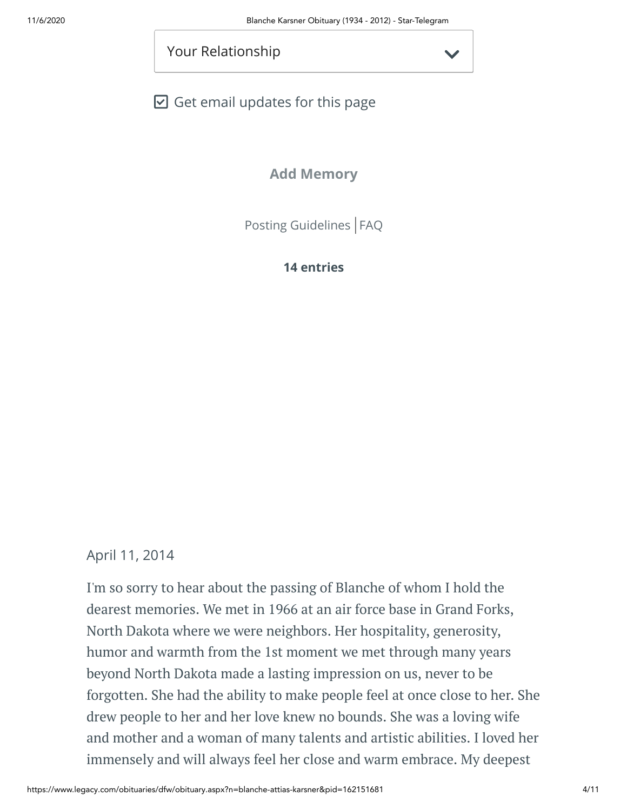Your Relationship

 $\boxdot$  Get email updates for this page

**Add Memory**

[Posting Guidelines](https://www.legacy.com/guestbooks/posting-guidelines.aspx?n=Blanche-Karsner&pid=162151681) | [FAQ](https://www.legacy.com/guestbooks/faq.aspx?n=Blanche-Karsner&pid=162151681)

# **14 entries**

# April 11, 2014

I'm so sorry to hear about the passing of Blanche of whom I hold the dearest memories. We met in 1966 at an air force base in Grand Forks, North Dakota where we were neighbors. Her hospitality, generosity, humor and warmth from the 1st moment we met through many years beyond North Dakota made a lasting impression on us, never to be forgotten. She had the ability to make people feel at once close to her. She drew people to her and her love knew no bounds. She was a loving wife and mother and a woman of many talents and artistic abilities. I loved her immensely and will always feel her close and warm embrace. My deepest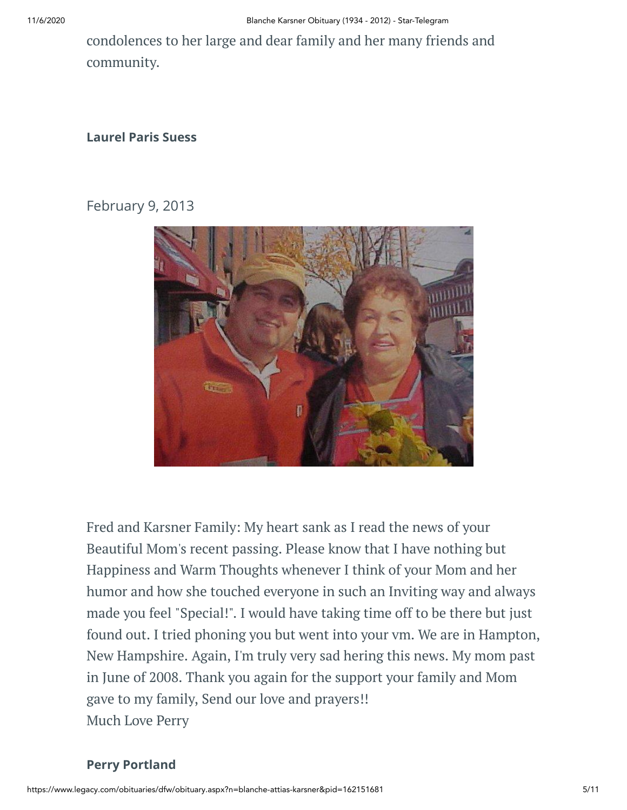condolences to her large and dear family and her many friends and community.

#### **Laurel Paris Suess**

# February 9, 2013



Fred and Karsner Family: My heart sank as I read the news of your Beautiful Mom's recent passing. Please know that I have nothing but Happiness and Warm Thoughts whenever I think of your Mom and her humor and how she touched everyone in such an Inviting way and always made you feel "Special!". I would have taking time off to be there but just found out. I tried phoning you but went into your vm. We are in Hampton, New Hampshire. Again, I'm truly very sad hering this news. My mom past in June of 2008. Thank you again for the support your family and Mom gave to my family, Send our love and prayers!! Much Love Perry

## **Perry Portland**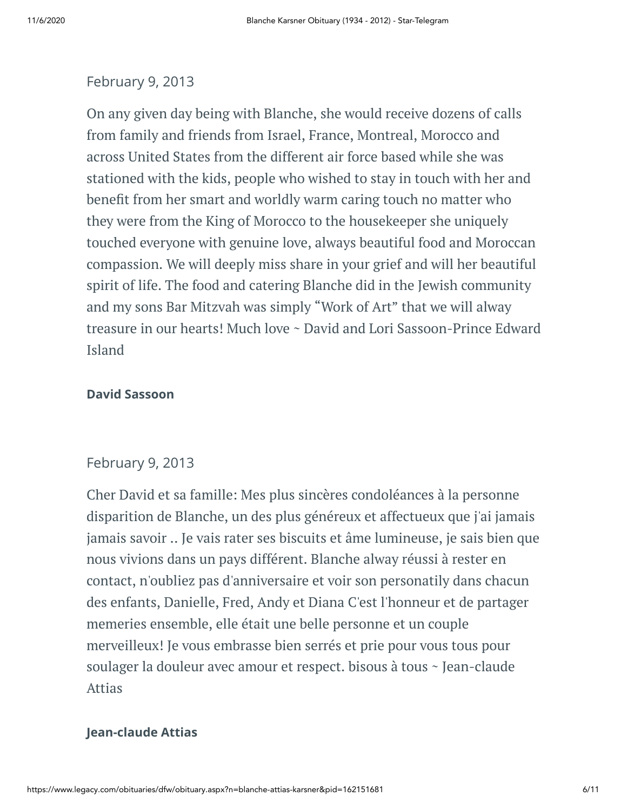## February 9, 2013

On any given day being with Blanche, she would receive dozens of calls from family and friends from Israel, France, Montreal, Morocco and across United States from the different air force based while she was stationed with the kids, people who wished to stay in touch with her and benefit from her smart and worldly warm caring touch no matter who they were from the King of Morocco to the housekeeper she uniquely touched everyone with genuine love, always beautiful food and Moroccan compassion. We will deeply miss share in your grief and will her beautiful spirit of life. The food and catering Blanche did in the Jewish community and my sons Bar Mitzvah was simply "Work of Art" that we will alway treasure in our hearts! Much love ~ David and Lori Sassoon-Prince Edward Island

#### **David Sassoon**

#### February 9, 2013

Cher David et sa famille: Mes plus sincères condoléances à la personne disparition de Blanche, un des plus généreux et affectueux que j'ai jamais jamais savoir .. Je vais rater ses biscuits et âme lumineuse, je sais bien que nous vivions dans un pays différent. Blanche alway réussi à rester en contact, n'oubliez pas d'anniversaire et voir son personatily dans chacun des enfants, Danielle, Fred, Andy et Diana C'est l'honneur et de partager memeries ensemble, elle était une belle personne et un couple merveilleux! Je vous embrasse bien serrés et prie pour vous tous pour soulager la douleur avec amour et respect. bisous à tous ~ Jean-claude Attias

#### **Jean-claude Attias**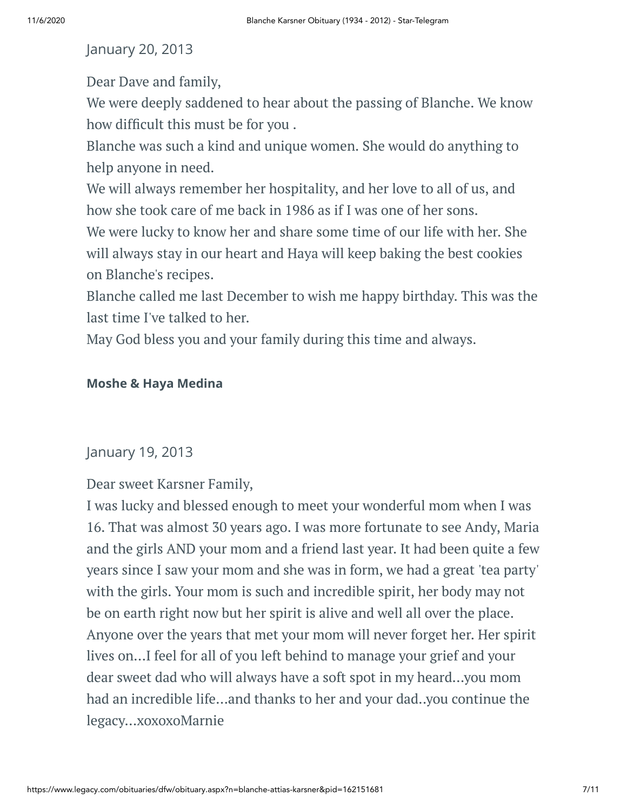# January 20, 2013

Dear Dave and family,

We were deeply saddened to hear about the passing of Blanche. We know how difficult this must be for you.

Blanche was such a kind and unique women. She would do anything to help anyone in need.

We will always remember her hospitality, and her love to all of us, and how she took care of me back in 1986 as if I was one of her sons.

We were lucky to know her and share some time of our life with her. She will always stay in our heart and Haya will keep baking the best cookies on Blanche's recipes.

Blanche called me last December to wish me happy birthday. This was the last time I've talked to her.

May God bless you and your family during this time and always.

## **Moshe & Haya Medina**

## January 19, 2013

Dear sweet Karsner Family,

I was lucky and blessed enough to meet your wonderful mom when I was 16. That was almost 30 years ago. I was more fortunate to see Andy, Maria and the girls AND your mom and a friend last year. It had been quite a few years since I saw your mom and she was in form, we had a great 'tea party' with the girls. Your mom is such and incredible spirit, her body may not be on earth right now but her spirit is alive and well all over the place. Anyone over the years that met your mom will never forget her. Her spirit lives on...I feel for all of you left behind to manage your grief and your dear sweet dad who will always have a soft spot in my heard...you mom had an incredible life...and thanks to her and your dad..you continue the legacy...xoxoxoMarnie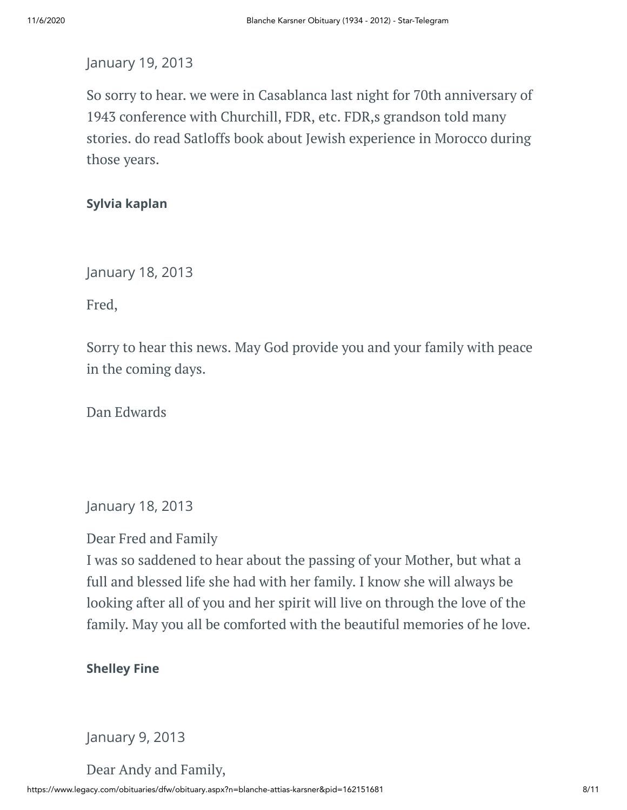# January 19, 2013

So sorry to hear. we were in Casablanca last night for 70th anniversary of 1943 conference with Churchill, FDR, etc. FDR,s grandson told many stories. do read Satloffs book about Jewish experience in Morocco during those years.

# **Sylvia kaplan**

January 18, 2013

Fred,

Sorry to hear this news. May God provide you and your family with peace in the coming days.

Dan Edwards

January 18, 2013

Dear Fred and Family

I was so saddened to hear about the passing of your Mother, but what a full and blessed life she had with her family. I know she will always be looking after all of you and her spirit will live on through the love of the family. May you all be comforted with the beautiful memories of he love.

**Shelley Fine**

January 9, 2013

Dear Andy and Family,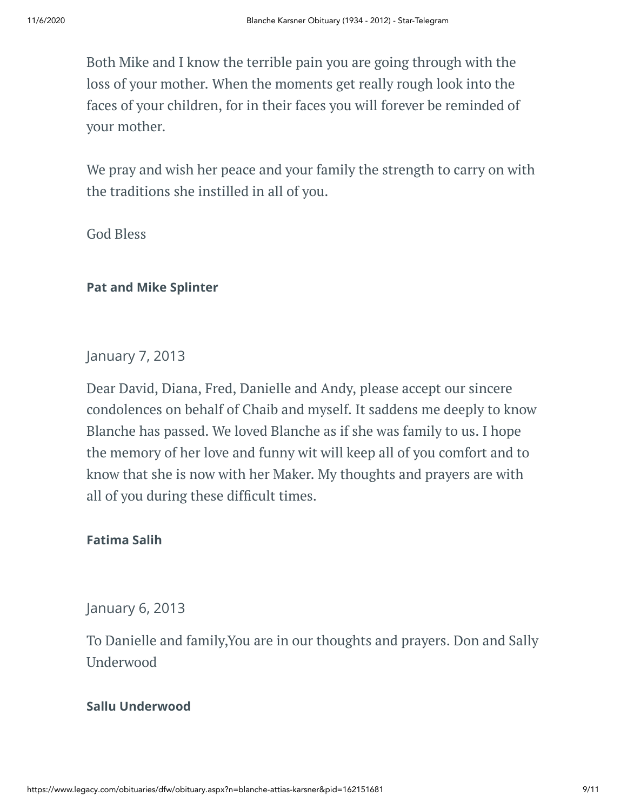Both Mike and I know the terrible pain you are going through with the loss of your mother. When the moments get really rough look into the faces of your children, for in their faces you will forever be reminded of your mother.

We pray and wish her peace and your family the strength to carry on with the traditions she instilled in all of you.

God Bless

# **Pat and Mike Splinter**

# January 7, 2013

Dear David, Diana, Fred, Danielle and Andy, please accept our sincere condolences on behalf of Chaib and myself. It saddens me deeply to know Blanche has passed. We loved Blanche as if she was family to us. I hope the memory of her love and funny wit will keep all of you comfort and to know that she is now with her Maker. My thoughts and prayers are with all of you during these difficult times.

## **Fatima Salih**

January 6, 2013

To Danielle and family,You are in our thoughts and prayers. Don and Sally Underwood

## **Sallu Underwood**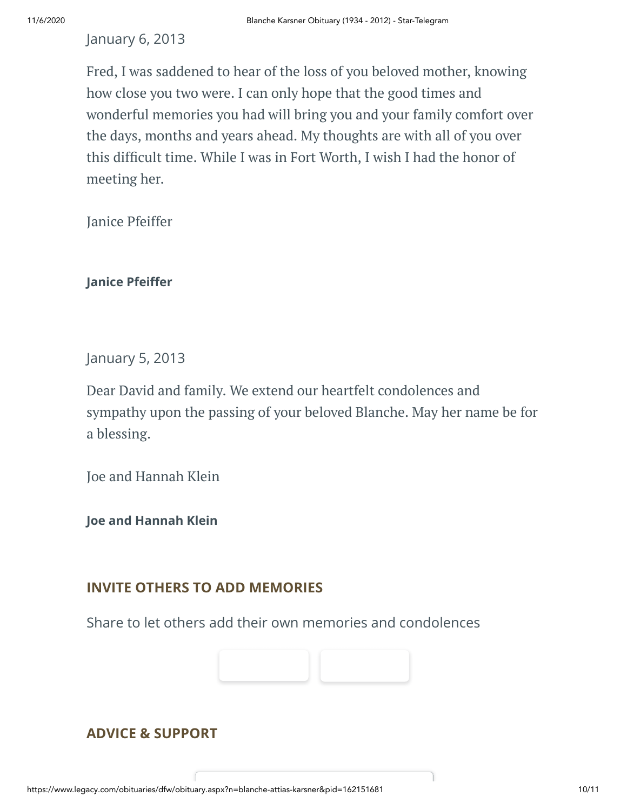## January 6, 2013

Fred, I was saddened to hear of the loss of you beloved mother, knowing how close you two were. I can only hope that the good times and wonderful memories you had will bring you and your family comfort over the days, months and years ahead. My thoughts are with all of you over this difficult time. While I was in Fort Worth, I wish I had the honor of meeting her.

Janice Pfeiffer

#### **Janice Pfeiffer**

January 5, 2013

Dear David and family. We extend our heartfelt condolences and sympathy upon the passing of your beloved Blanche. May her name be for a blessing.

Joe and Hannah Klein

**Joe and Hannah Klein**

# **INVITE OTHERS TO ADD MEMORIES**

Share to let others add their own memories and condolences



# **ADVICE & SUPPORT**